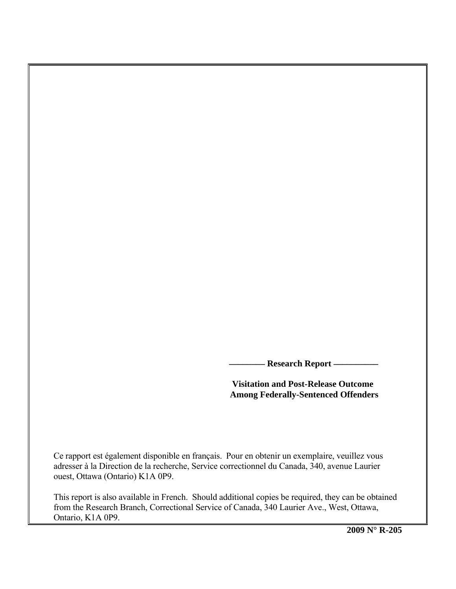**Research Report -**

# **Visitation and Post-Release Outcome Among Federally-Sentenced Offenders**

Ce rapport est également disponible en français. Pour en obtenir un exemplaire, veuillez vous adresser à la Direction de la recherche, Service correctionnel du Canada, 340, avenue Laurier ouest, Ottawa (Ontario) K1A 0P9.

This report is also available in French. Should additional copies be required, they can be obtained from the Research Branch, Correctional Service of Canada, 340 Laurier Ave., West, Ottawa, Ontario, K1A 0P9.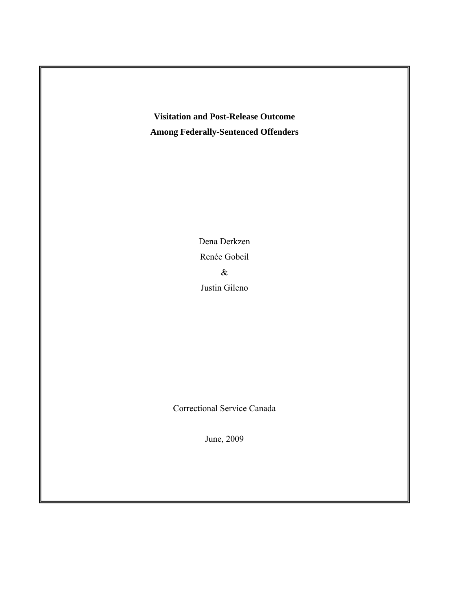**Visitation and Post-Release Outcome Among Federally-Sentenced Offenders** 

> Dena Derkzen Renée Gobeil & Justin Gileno

Correctional Service Canada

June, 2009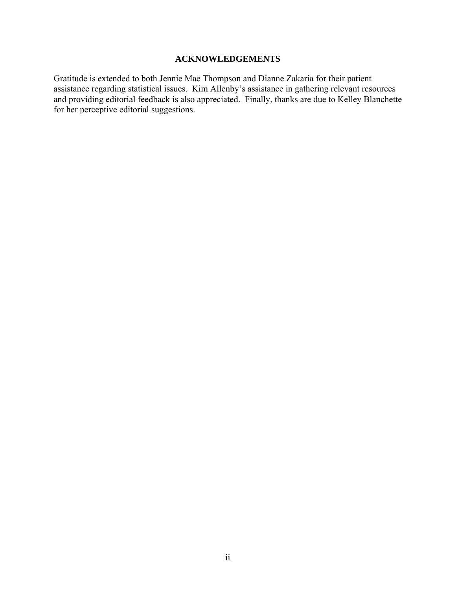# **ACKNOWLEDGEMENTS**

<span id="page-2-0"></span>Gratitude is extended to both Jennie Mae Thompson and Dianne Zakaria for their patient assistance regarding statistical issues. Kim Allenby's assistance in gathering relevant resources and providing editorial feedback is also appreciated. Finally, thanks are due to Kelley Blanchette for her perceptive editorial suggestions.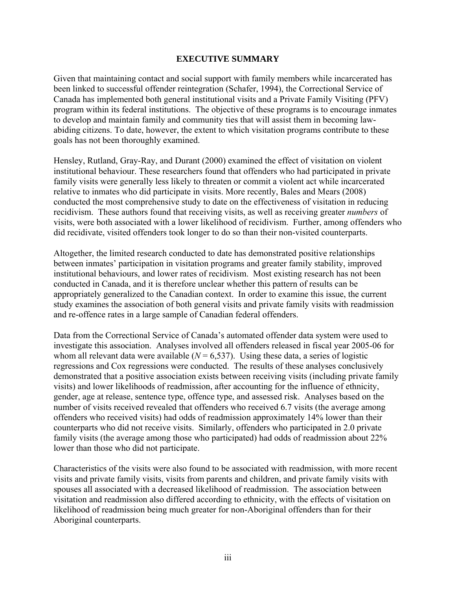# **EXECUTIVE SUMMARY**

<span id="page-3-0"></span>Given that maintaining contact and social support with family members while incarcerated has been linked to successful offender reintegration (Schafer, 1994), the Correctional Service of Canada has implemented both general institutional visits and a Private Family Visiting (PFV) program within its federal institutions. The objective of these programs is to encourage inmates to develop and maintain family and community ties that will assist them in becoming lawabiding citizens. To date, however, the extent to which visitation programs contribute to these goals has not been thoroughly examined.

Hensley, Rutland, Gray-Ray, and Durant (2000) examined the effect of visitation on violent institutional behaviour. These researchers found that offenders who had participated in private family visits were generally less likely to threaten or commit a violent act while incarcerated relative to inmates who did participate in visits. More recently, Bales and Mears (2008) conducted the most comprehensive study to date on the effectiveness of visitation in reducing recidivism. These authors found that receiving visits, as well as receiving greater *numbers* of visits, were both associated with a lower likelihood of recidivism. Further, among offenders who did recidivate, visited offenders took longer to do so than their non-visited counterparts.

Altogether, the limited research conducted to date has demonstrated positive relationships between inmates' participation in visitation programs and greater family stability, improved institutional behaviours, and lower rates of recidivism. Most existing research has not been conducted in Canada, and it is therefore unclear whether this pattern of results can be appropriately generalized to the Canadian context. In order to examine this issue, the current study examines the association of both general visits and private family visits with readmission and re-offence rates in a large sample of Canadian federal offenders.

Data from the Correctional Service of Canada's automated offender data system were used to investigate this association. Analyses involved all offenders released in fiscal year 2005-06 for whom all relevant data were available  $(N = 6,537)$ . Using these data, a series of logistic regressions and Cox regressions were conducted. The results of these analyses conclusively demonstrated that a positive association exists between receiving visits (including private family visits) and lower likelihoods of readmission, after accounting for the influence of ethnicity, gender, age at release, sentence type, offence type, and assessed risk. Analyses based on the number of visits received revealed that offenders who received 6.7 visits (the average among offenders who received visits) had odds of readmission approximately 14% lower than their counterparts who did not receive visits. Similarly, offenders who participated in 2.0 private family visits (the average among those who participated) had odds of readmission about 22% lower than those who did not participate.

Characteristics of the visits were also found to be associated with readmission, with more recent visits and private family visits, visits from parents and children, and private family visits with spouses all associated with a decreased likelihood of readmission. The association between visitation and readmission also differed according to ethnicity, with the effects of visitation on likelihood of readmission being much greater for non-Aboriginal offenders than for their Aboriginal counterparts.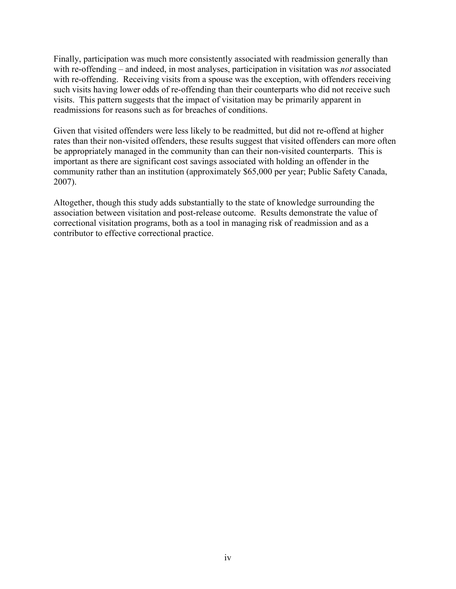Finally, participation was much more consistently associated with readmission generally than with re-offending – and indeed, in most analyses, participation in visitation was *not* associated with re-offending. Receiving visits from a spouse was the exception, with offenders receiving such visits having lower odds of re-offending than their counterparts who did not receive such visits. This pattern suggests that the impact of visitation may be primarily apparent in readmissions for reasons such as for breaches of conditions.

Given that visited offenders were less likely to be readmitted, but did not re-offend at higher rates than their non-visited offenders, these results suggest that visited offenders can more often be appropriately managed in the community than can their non-visited counterparts. This is important as there are significant cost savings associated with holding an offender in the community rather than an institution (approximately \$65,000 per year; Public Safety Canada, 2007).

Altogether, though this study adds substantially to the state of knowledge surrounding the association between visitation and post-release outcome. Results demonstrate the value of correctional visitation programs, both as a tool in managing risk of readmission and as a contributor to effective correctional practice.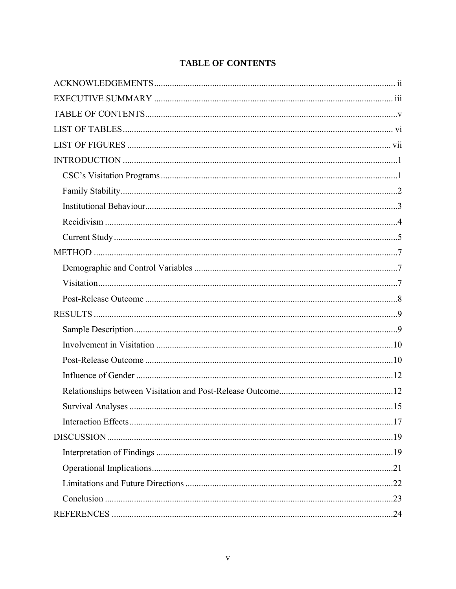|  | <b>TABLE OF CONTENTS</b> |
|--|--------------------------|
|--|--------------------------|

<span id="page-5-0"></span>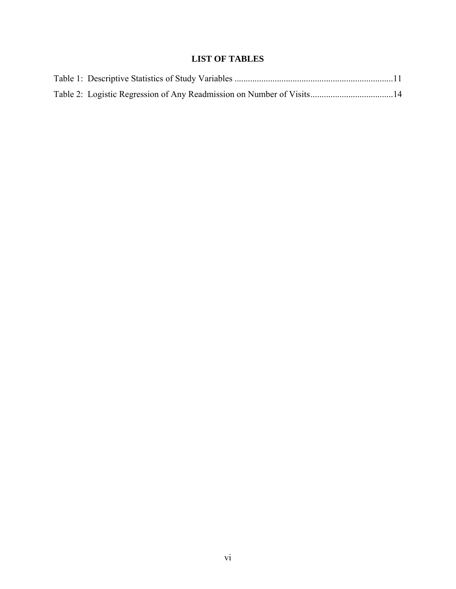# **LIST OF TABLES**

<span id="page-6-0"></span>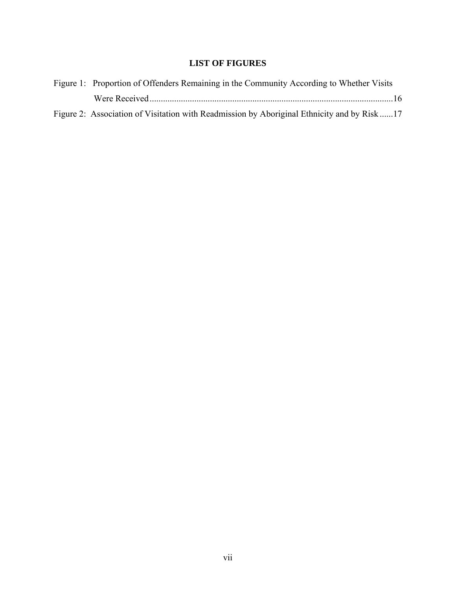# **LIST OF FIGURES**

<span id="page-7-0"></span>

| Figure 1: Proportion of Offenders Remaining in the Community According to Whether Visits   |  |
|--------------------------------------------------------------------------------------------|--|
|                                                                                            |  |
| Figure 2: Association of Visitation with Readmission by Aboriginal Ethnicity and by Risk17 |  |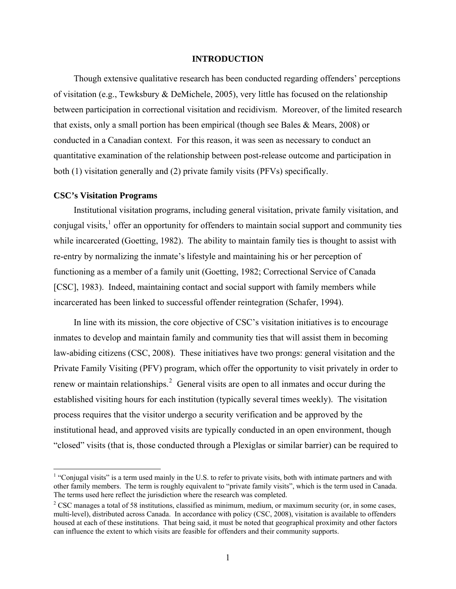### **INTRODUCTION**

<span id="page-8-0"></span>Though extensive qualitative research has been conducted regarding offenders' perceptions of visitation (e.g., Tewksbury & DeMichele, 2005), very little has focused on the relationship between participation in correctional visitation and recidivism. Moreover, of the limited research that exists, only a small portion has been empirical (though see Bales & Mears, 2008) or conducted in a Canadian context. For this reason, it was seen as necessary to conduct an quantitative examination of the relationship between post-release outcome and participation in both (1) visitation generally and (2) private family visits (PFVs) specifically.

## **CSC's Visitation Programs**

 $\overline{a}$ 

Institutional visitation programs, including general visitation, private family visitation, and conjugal visits, $<sup>1</sup>$  $<sup>1</sup>$  $<sup>1</sup>$  offer an opportunity for offenders to maintain social support and community ties</sup> while incarcerated (Goetting, 1982). The ability to maintain family ties is thought to assist with re-entry by normalizing the inmate's lifestyle and maintaining his or her perception of functioning as a member of a family unit (Goetting, 1982; Correctional Service of Canada [CSC], 1983). Indeed, maintaining contact and social support with family members while incarcerated has been linked to successful offender reintegration (Schafer, 1994).

In line with its mission, the core objective of CSC's visitation initiatives is to encourage inmates to develop and maintain family and community ties that will assist them in becoming law-abiding citizens (CSC, 2008). These initiatives have two prongs: general visitation and the Private Family Visiting (PFV) program, which offer the opportunity to visit privately in order to renew or maintain relationships.<sup>[2](#page-8-2)</sup> General visits are open to all inmates and occur during the established visiting hours for each institution (typically several times weekly). The visitation process requires that the visitor undergo a security verification and be approved by the institutional head, and approved visits are typically conducted in an open environment, though "closed" visits (that is, those conducted through a Plexiglas or similar barrier) can be required to

<span id="page-8-1"></span> $<sup>1</sup>$  "Conjugal visits" is a term used mainly in the U.S. to refer to private visits, both with intimate partners and with</sup> other family members. The term is roughly equivalent to "private family visits", which is the term used in Canada. The terms used here reflect the jurisdiction where the research was completed.

<span id="page-8-2"></span><sup>&</sup>lt;sup>2</sup> CSC manages a total of 58 institutions, classified as minimum, medium, or maximum security (or, in some cases, multi-level), distributed across Canada. In accordance with policy (CSC, 2008), visitation is available to offenders housed at each of these institutions. That being said, it must be noted that geographical proximity and other factors can influence the extent to which visits are feasible for offenders and their community supports.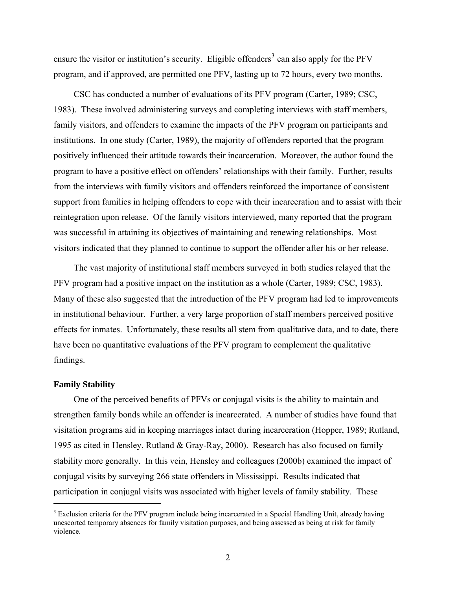<span id="page-9-0"></span>ensure the visitor or institution's security. Eligible offenders<sup>[3](#page-9-1)</sup> can also apply for the PFV program, and if approved, are permitted one PFV, lasting up to 72 hours, every two months.

CSC has conducted a number of evaluations of its PFV program (Carter, 1989; CSC, 1983). These involved administering surveys and completing interviews with staff members, family visitors, and offenders to examine the impacts of the PFV program on participants and institutions. In one study (Carter, 1989), the majority of offenders reported that the program positively influenced their attitude towards their incarceration. Moreover, the author found the program to have a positive effect on offenders' relationships with their family. Further, results from the interviews with family visitors and offenders reinforced the importance of consistent support from families in helping offenders to cope with their incarceration and to assist with their reintegration upon release. Of the family visitors interviewed, many reported that the program was successful in attaining its objectives of maintaining and renewing relationships. Most visitors indicated that they planned to continue to support the offender after his or her release.

The vast majority of institutional staff members surveyed in both studies relayed that the PFV program had a positive impact on the institution as a whole (Carter, 1989; CSC, 1983). Many of these also suggested that the introduction of the PFV program had led to improvements in institutional behaviour. Further, a very large proportion of staff members perceived positive effects for inmates. Unfortunately, these results all stem from qualitative data, and to date, there have been no quantitative evaluations of the PFV program to complement the qualitative findings.

## **Family Stability**

1

One of the perceived benefits of PFVs or conjugal visits is the ability to maintain and strengthen family bonds while an offender is incarcerated. A number of studies have found that visitation programs aid in keeping marriages intact during incarceration (Hopper, 1989; Rutland, 1995 as cited in Hensley, Rutland & Gray-Ray, 2000). Research has also focused on family stability more generally. In this vein, Hensley and colleagues (2000b) examined the impact of conjugal visits by surveying 266 state offenders in Mississippi. Results indicated that participation in conjugal visits was associated with higher levels of family stability. These

<span id="page-9-1"></span><sup>&</sup>lt;sup>3</sup> Exclusion criteria for the PFV program include being incarcerated in a Special Handling Unit, already having unescorted temporary absences for family visitation purposes, and being assessed as being at risk for family violence.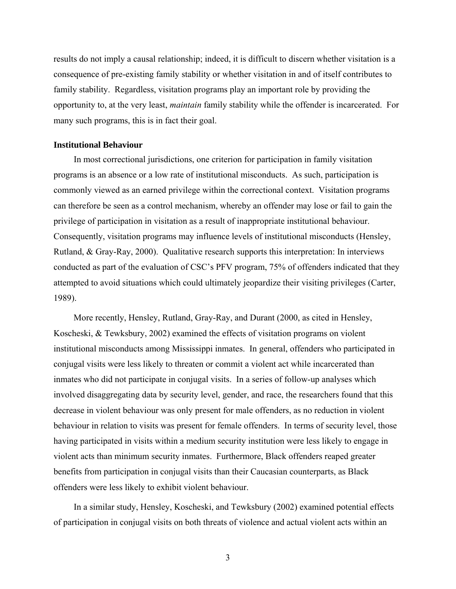<span id="page-10-0"></span>results do not imply a causal relationship; indeed, it is difficult to discern whether visitation is a consequence of pre-existing family stability or whether visitation in and of itself contributes to family stability. Regardless, visitation programs play an important role by providing the opportunity to, at the very least, *maintain* family stability while the offender is incarcerated. For many such programs, this is in fact their goal.

# **Institutional Behaviour**

In most correctional jurisdictions, one criterion for participation in family visitation programs is an absence or a low rate of institutional misconducts. As such, participation is commonly viewed as an earned privilege within the correctional context. Visitation programs can therefore be seen as a control mechanism, whereby an offender may lose or fail to gain the privilege of participation in visitation as a result of inappropriate institutional behaviour. Consequently, visitation programs may influence levels of institutional misconducts (Hensley, Rutland, & Gray-Ray, 2000). Qualitative research supports this interpretation: In interviews conducted as part of the evaluation of CSC's PFV program, 75% of offenders indicated that they attempted to avoid situations which could ultimately jeopardize their visiting privileges (Carter, 1989).

More recently, Hensley, Rutland, Gray-Ray, and Durant (2000, as cited in Hensley, Koscheski, & Tewksbury, 2002) examined the effects of visitation programs on violent institutional misconducts among Mississippi inmates. In general, offenders who participated in conjugal visits were less likely to threaten or commit a violent act while incarcerated than inmates who did not participate in conjugal visits. In a series of follow-up analyses which involved disaggregating data by security level, gender, and race, the researchers found that this decrease in violent behaviour was only present for male offenders, as no reduction in violent behaviour in relation to visits was present for female offenders. In terms of security level, those having participated in visits within a medium security institution were less likely to engage in violent acts than minimum security inmates. Furthermore, Black offenders reaped greater benefits from participation in conjugal visits than their Caucasian counterparts, as Black offenders were less likely to exhibit violent behaviour.

In a similar study, Hensley, Koscheski, and Tewksbury (2002) examined potential effects of participation in conjugal visits on both threats of violence and actual violent acts within an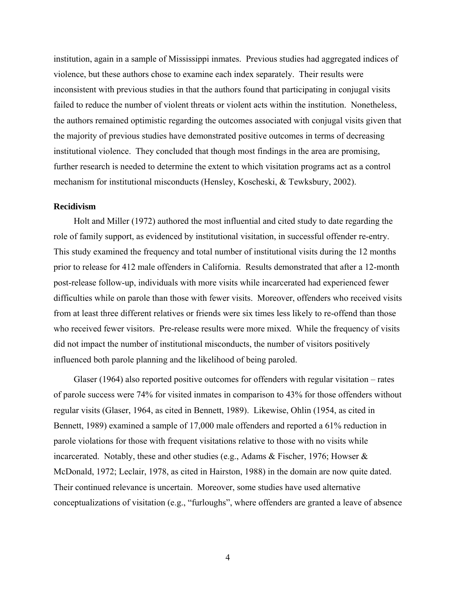<span id="page-11-0"></span>institution, again in a sample of Mississippi inmates. Previous studies had aggregated indices of violence, but these authors chose to examine each index separately. Their results were inconsistent with previous studies in that the authors found that participating in conjugal visits failed to reduce the number of violent threats or violent acts within the institution. Nonetheless, the authors remained optimistic regarding the outcomes associated with conjugal visits given that the majority of previous studies have demonstrated positive outcomes in terms of decreasing institutional violence. They concluded that though most findings in the area are promising, further research is needed to determine the extent to which visitation programs act as a control mechanism for institutional misconducts (Hensley, Koscheski, & Tewksbury, 2002).

## **Recidivism**

Holt and Miller (1972) authored the most influential and cited study to date regarding the role of family support, as evidenced by institutional visitation, in successful offender re-entry. This study examined the frequency and total number of institutional visits during the 12 months prior to release for 412 male offenders in California. Results demonstrated that after a 12-month post-release follow-up, individuals with more visits while incarcerated had experienced fewer difficulties while on parole than those with fewer visits. Moreover, offenders who received visits from at least three different relatives or friends were six times less likely to re-offend than those who received fewer visitors. Pre-release results were more mixed. While the frequency of visits did not impact the number of institutional misconducts, the number of visitors positively influenced both parole planning and the likelihood of being paroled.

Glaser (1964) also reported positive outcomes for offenders with regular visitation – rates of parole success were 74% for visited inmates in comparison to 43% for those offenders without regular visits (Glaser, 1964, as cited in Bennett, 1989). Likewise, Ohlin (1954, as cited in Bennett, 1989) examined a sample of 17,000 male offenders and reported a 61% reduction in parole violations for those with frequent visitations relative to those with no visits while incarcerated. Notably, these and other studies (e.g., Adams & Fischer, 1976; Howser & McDonald, 1972; Leclair, 1978, as cited in Hairston, 1988) in the domain are now quite dated. Their continued relevance is uncertain. Moreover, some studies have used alternative conceptualizations of visitation (e.g., "furloughs", where offenders are granted a leave of absence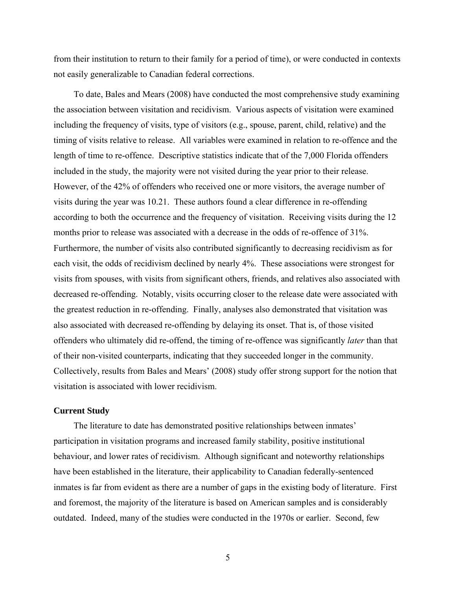<span id="page-12-0"></span>from their institution to return to their family for a period of time), or were conducted in contexts not easily generalizable to Canadian federal corrections.

To date, Bales and Mears (2008) have conducted the most comprehensive study examining the association between visitation and recidivism. Various aspects of visitation were examined including the frequency of visits, type of visitors (e.g., spouse, parent, child, relative) and the timing of visits relative to release. All variables were examined in relation to re-offence and the length of time to re-offence. Descriptive statistics indicate that of the 7,000 Florida offenders included in the study, the majority were not visited during the year prior to their release. However, of the 42% of offenders who received one or more visitors, the average number of visits during the year was 10.21. These authors found a clear difference in re-offending according to both the occurrence and the frequency of visitation. Receiving visits during the 12 months prior to release was associated with a decrease in the odds of re-offence of 31%. Furthermore, the number of visits also contributed significantly to decreasing recidivism as for each visit, the odds of recidivism declined by nearly 4%. These associations were strongest for visits from spouses, with visits from significant others, friends, and relatives also associated with decreased re-offending. Notably, visits occurring closer to the release date were associated with the greatest reduction in re-offending. Finally, analyses also demonstrated that visitation was also associated with decreased re-offending by delaying its onset. That is, of those visited offenders who ultimately did re-offend, the timing of re-offence was significantly *later* than that of their non-visited counterparts, indicating that they succeeded longer in the community. Collectively, results from Bales and Mears' (2008) study offer strong support for the notion that visitation is associated with lower recidivism.

### **Current Study**

The literature to date has demonstrated positive relationships between inmates' participation in visitation programs and increased family stability, positive institutional behaviour, and lower rates of recidivism. Although significant and noteworthy relationships have been established in the literature, their applicability to Canadian federally-sentenced inmates is far from evident as there are a number of gaps in the existing body of literature. First and foremost, the majority of the literature is based on American samples and is considerably outdated. Indeed, many of the studies were conducted in the 1970s or earlier. Second, few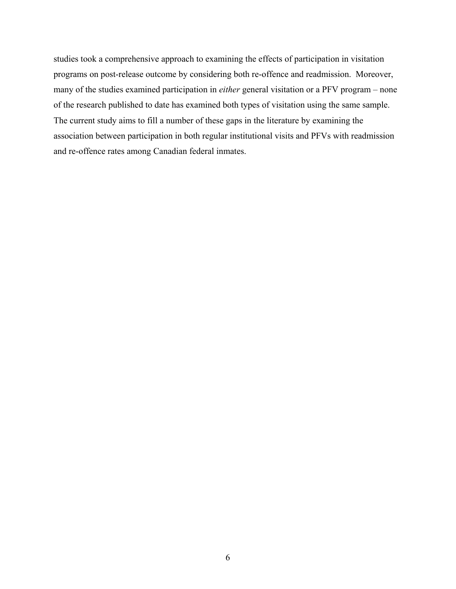studies took a comprehensive approach to examining the effects of participation in visitation programs on post-release outcome by considering both re-offence and readmission. Moreover, many of the studies examined participation in *either* general visitation or a PFV program – none of the research published to date has examined both types of visitation using the same sample. The current study aims to fill a number of these gaps in the literature by examining the association between participation in both regular institutional visits and PFVs with readmission and re-offence rates among Canadian federal inmates.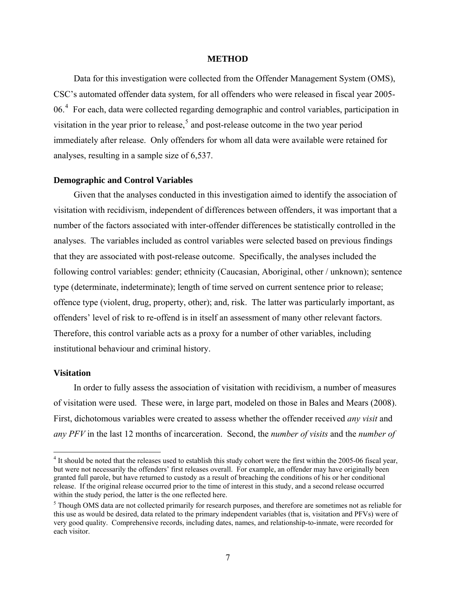#### **METHOD**

<span id="page-14-0"></span>Data for this investigation were collected from the Offender Management System (OMS), CSC's automated offender data system, for all offenders who were released in fiscal year 2005- 06.<sup>[4](#page-14-1)</sup> For each, data were collected regarding demographic and control variables, participation in visitation in the year prior to release,<sup>[5](#page-14-2)</sup> and post-release outcome in the two year period immediately after release. Only offenders for whom all data were available were retained for analyses, resulting in a sample size of 6,537.

# **Demographic and Control Variables**

Given that the analyses conducted in this investigation aimed to identify the association of visitation with recidivism, independent of differences between offenders, it was important that a number of the factors associated with inter-offender differences be statistically controlled in the analyses. The variables included as control variables were selected based on previous findings that they are associated with post-release outcome. Specifically, the analyses included the following control variables: gender; ethnicity (Caucasian, Aboriginal, other / unknown); sentence type (determinate, indeterminate); length of time served on current sentence prior to release; offence type (violent, drug, property, other); and, risk. The latter was particularly important, as offenders' level of risk to re-offend is in itself an assessment of many other relevant factors. Therefore, this control variable acts as a proxy for a number of other variables, including institutional behaviour and criminal history.

#### **Visitation**

 $\overline{a}$ 

In order to fully assess the association of visitation with recidivism, a number of measures of visitation were used. These were, in large part, modeled on those in Bales and Mears (2008). First, dichotomous variables were created to assess whether the offender received *any visit* and *any PFV* in the last 12 months of incarceration. Second, the *number of visits* and the *number of* 

<span id="page-14-1"></span><sup>&</sup>lt;sup>4</sup> It should be noted that the releases used to establish this study cohort were the first within the 2005-06 fiscal year, but were not necessarily the offenders' first releases overall. For example, an offender may have originally been granted full parole, but have returned to custody as a result of breaching the conditions of his or her conditional release. If the original release occurred prior to the time of interest in this study, and a second release occurred within the study period, the latter is the one reflected here.

<span id="page-14-2"></span> $<sup>5</sup>$  Though OMS data are not collected primarily for research purposes, and therefore are sometimes not as reliable for</sup> this use as would be desired, data related to the primary independent variables (that is, visitation and PFVs) were of very good quality. Comprehensive records, including dates, names, and relationship-to-inmate, were recorded for each visitor.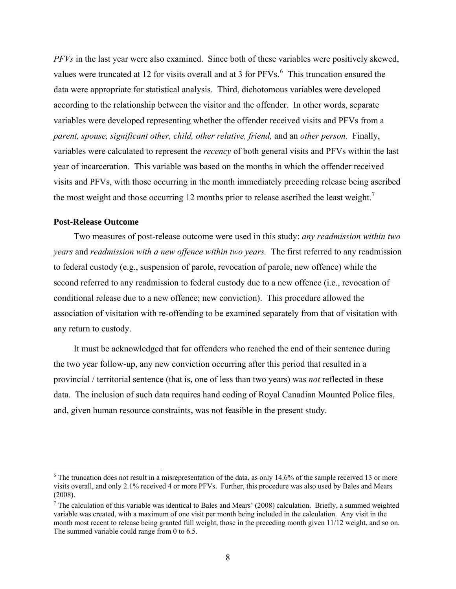<span id="page-15-0"></span>*PFVs* in the last year were also examined. Since both of these variables were positively skewed, values were truncated at 12 for visits overall and at 3 for  $PFVs<sup>6</sup>$  $PFVs<sup>6</sup>$  $PFVs<sup>6</sup>$ . This truncation ensured the data were appropriate for statistical analysis. Third, dichotomous variables were developed according to the relationship between the visitor and the offender. In other words, separate variables were developed representing whether the offender received visits and PFVs from a *parent, spouse, significant other, child, other relative, friend,* and an *other person.* Finally, variables were calculated to represent the *recency* of both general visits and PFVs within t he last year of incarceration. This variable was based on the months in which the offender received visits and PFVs, with those occurring in the month immediately preceding release being ascribed the most weight and those occurring 12 months prior to release ascribed the least weight.<sup>7</sup>

### **Post-Release Outcome**

<u>.</u>

Two measures of post-release outcome were used in this study: *any readmission within two years* and *readmission with a new offence within two years.* The first referred to any readmission to federal custody (e.g., suspension of parole, revocation of parole, new offence) while the second referred to any readmission to federal custody due to a new offence (i.e., revocation of conditional release due to a new offence; new conviction). This procedure allowed the association of visitation with re-offending to be examined separately from that of visitation with any return to custody.

It must be acknowledged that for offenders who reached the end of their sentence during the two year follow-up, any new conviction occurring after this period that resulted in a provincial / territorial sentence (that is, one of less than two years) was *not* reflected in these data. The inclusion of such data requires hand coding of Royal Canadian Mounted Police files, and, given human resource constraints, was not feasible in the present study.

<span id="page-15-1"></span> $6$  The truncation does not result in a misrepresentation of the data, as only 14.6% of the sample received 13 or more visits overall, and only 2.1% received 4 or more PFVs. Further, this procedure was also used by Bales and Mears (2008).

<sup>&</sup>lt;sup>7</sup> The calculation of this variable was identical to Bales and Mears' (2008) calculation. Briefly, a summed weighted variable was created, with a maximum of one visit per month being included in the calculation. Any visit in the month most recent to release being granted full weight, those in the preceding month given 11/12 weight, and so on. The summed variable could range from 0 to 6.5.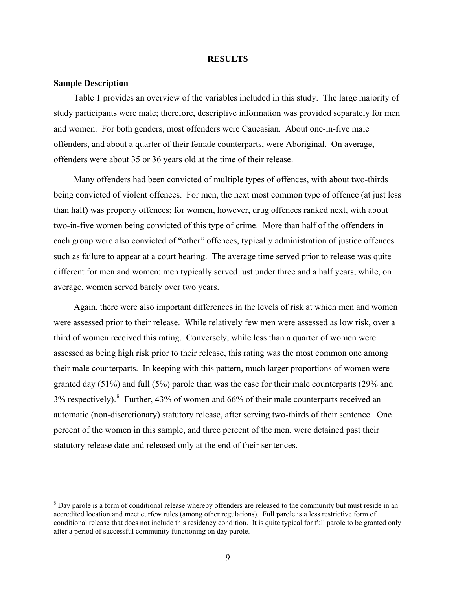#### **RESULTS**

#### <span id="page-16-0"></span>**Sample Description**

<u>.</u>

Table 1 provides an overview of the variables included in this study. The large majority of study participants were male; therefore, descriptive information was provided separately for men and women. For both genders, most offenders were Caucasian. About one-in-five male offenders, and about a quarter of their female counterparts, were Aboriginal. On average, offenders were about 35 or 36 years old at the time of their release.

Many offenders had been convicted of multiple types of offences, with about two-thirds being convicted of violent offences. For men, the next most common type of offence (at just less than half) was property offences; for women, however, drug offences ranked next, with about two-in-five women being convicted of this type of crime. More than half of the offenders in each group were also convicted of "other" offences, typically administration of justice offences such as failure to appear at a court hearing. The average time served prior to release was quite different for men and women: men typically served just under three and a half years, while, on average, women served barely over two years.

Again, there were also important differences in the levels of risk at which men and women were assessed prior to their release. While relatively few men were assessed as low risk, over a third of women received this rating. Conversely, while less than a quarter of women were assessed as being high risk prior to their release, this rating was the most common one among their male counterparts. In keeping with this pattern, much larger proportions of women were granted day (51%) and full (5%) parole than was the case for their male counterparts (29% and 3% respectively). <sup>[8](#page-16-1)</sup> Further, 43% of women and 66% of their male counterparts received an automatic (non-discretionary) statutory release, after serving two-thirds of their sentence. One percent of the women in this sample, and three percent of the men, were detained past their statutory release date and released only at the end of their sentences.

<span id="page-16-1"></span> $8$  Day parole is a form of conditional release whereby offenders are released to the community but must reside in an accredited location and meet curfew rules (among other regulations). Full parole is a less restrictive form of conditional release that does not include this residency condition. It is quite typical for full parole to be granted only after a period of successful community functioning on day parole.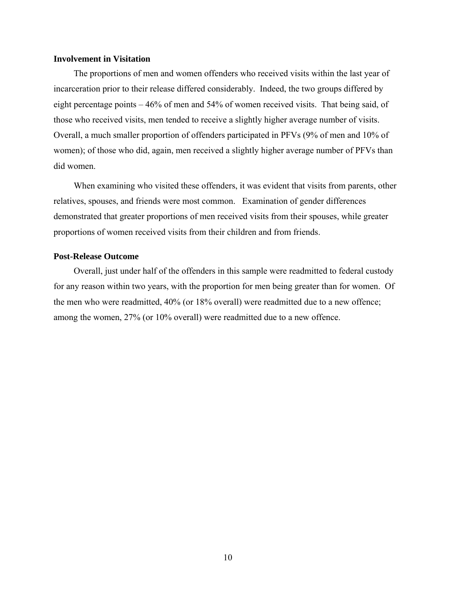#### <span id="page-17-0"></span>**Involvement in Visitation**

The proportions of men and women offenders who received visits within the last year of incarceration prior to their release differed considerably. Indeed, the two groups differed by eight percentage points – 46% of men and 54% of women received visits. That being said, of those who received visits, men tended to receive a slightly higher average number of visits. Overall, a much smaller proportion of offenders participated in PFVs (9% of men and 10% of women); of those who did, again, men received a slightly higher average number of PFVs than did women.

When examining who visited these offenders, it was evident that visits from parents, other relatives, spouses, and friends were most common. Examination of gender differences demonstrated that greater proportions of men received visits from their spouses, while greater proportions of women received visits from their children and from friends.

# **Post-Release Outcome**

Overall, just under half of the offenders in this sample were readmitted to federal custody for any reason within two years, with the proportion for men being greater than for women. Of the men who were readmitted, 40% (or 18% overall) were readmitted due to a new offence; among the women, 27% (or 10% overall) were readmitted due to a new offence.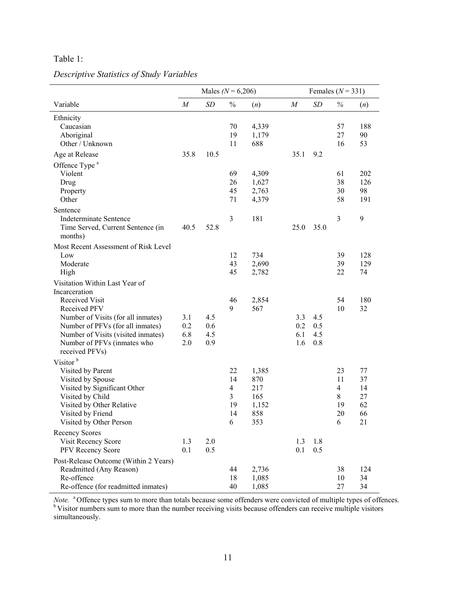# <span id="page-18-0"></span>Table 1:

|                                                                                                                                                                                                 | Males ( $N = 6,206$ ) |            |                                                  | Females $(N = 331)$                               |                |            |                                                  |                                        |
|-------------------------------------------------------------------------------------------------------------------------------------------------------------------------------------------------|-----------------------|------------|--------------------------------------------------|---------------------------------------------------|----------------|------------|--------------------------------------------------|----------------------------------------|
| Variable                                                                                                                                                                                        | $\cal M$              | <b>SD</b>  | $\frac{0}{0}$                                    | (n)                                               | $\cal M$       | SD         | $\%$                                             | (n)                                    |
| Ethnicity<br>Caucasian<br>Aboriginal<br>Other / Unknown                                                                                                                                         |                       |            | 70<br>19<br>11                                   | 4,339<br>1,179<br>688                             |                |            | 57<br>27<br>16                                   | 188<br>90<br>53                        |
| Age at Release                                                                                                                                                                                  | 35.8                  | 10.5       |                                                  |                                                   | 35.1           | 9.2        |                                                  |                                        |
| Offence Type <sup>a</sup><br>Violent<br>Drug<br>Property<br>Other                                                                                                                               |                       |            | 69<br>26<br>45<br>71                             | 4,309<br>1,627<br>2,763<br>4,379                  |                |            | 61<br>38<br>30<br>58                             | 202<br>126<br>98<br>191                |
| Sentence<br><b>Indeterminate Sentence</b><br>Time Served, Current Sentence (in<br>months)                                                                                                       | 40.5                  | 52.8       | 3                                                | 181                                               | 25.0           | 35.0       | 3                                                | 9                                      |
| Most Recent Assessment of Risk Level<br>Low<br>Moderate<br>High                                                                                                                                 |                       |            | 12<br>43<br>45                                   | 734<br>2,690<br>2,782                             |                |            | 39<br>39<br>22                                   | 128<br>129<br>74                       |
| Visitation Within Last Year of<br>Incarceration<br>Received Visit<br>Received PFV<br>Number of Visits (for all inmates)<br>Number of PFVs (for all inmates)                                     | 3.1<br>0.2            | 4.5<br>0.6 | 46<br>9                                          | 2,854<br>567                                      | 3.3<br>0.2     | 4.5<br>0.5 | 54<br>10                                         | 180<br>32                              |
| Number of Visits (visited inmates)<br>Number of PFVs (inmates who<br>received PFVs)                                                                                                             | 6.8<br>2.0            | 4.5<br>0.9 |                                                  |                                                   | 6.1<br>1.6     | 4.5<br>0.8 |                                                  |                                        |
| Visitor <sup>b</sup><br>Visited by Parent<br>Visited by Spouse<br>Visited by Significant Other<br>Visited by Child<br>Visited by Other Relative<br>Visited by Friend<br>Visited by Other Person |                       |            | 22<br>14<br>4<br>$\overline{3}$<br>19<br>14<br>6 | 1,385<br>870<br>217<br>165<br>1,152<br>858<br>353 |                |            | 23<br>11<br>$\overline{4}$<br>8<br>19<br>20<br>6 | 77<br>37<br>14<br>27<br>62<br>66<br>21 |
| <b>Recency Scores</b><br>Visit Recency Score<br>PFV Recency Score                                                                                                                               | 1.3<br>0.1            | 2.0<br>0.5 |                                                  |                                                   | 1.3<br>$0.1\,$ | 1.8<br>0.5 |                                                  |                                        |
| Post-Release Outcome (Within 2 Years)<br>Readmitted (Any Reason)<br>Re-offence<br>Re-offence (for readmitted inmates)                                                                           |                       |            | 44<br>18<br>40                                   | 2,736<br>1,085<br>1,085                           |                |            | 38<br>10<br>27                                   | 124<br>34<br>34                        |

# *Descriptive Statistics of Study Variables*

*Note.* <sup>a</sup> Offence types sum to more than totals because some offenders were convicted of multiple types of offences. <sup>b</sup> Visitor numbers sum to more than the number receiving visits because offenders can receive multiple visitors simultaneously.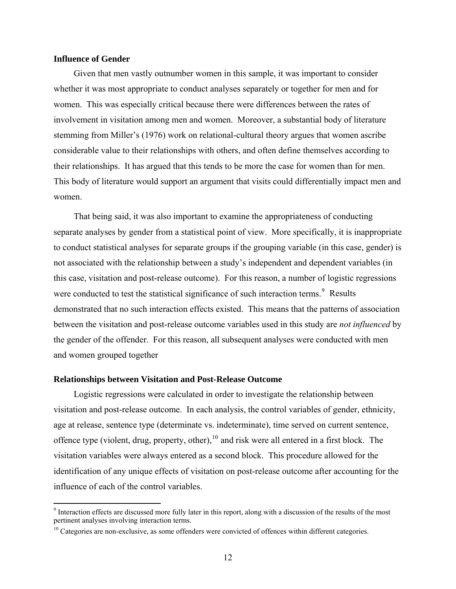## <span id="page-19-0"></span>**Influence of Gender**

Given that men vastly outnumber women in this sample, it was important to consider whether it was most appropriate to conduct analyses separately or together for men and for women. This was especially critical because there were differences between the rates of involvement in visitation among men and women. Moreover, a substantial body of literature stemming from Miller's (1976) work on relational-cultural theory argues that women ascribe considerable value to their relationships with others, and often define themselves according to their relationships. It has argued that this tends to be more the case for women than for men. This body of literature would support an argument that visits could differentially impact men and women.

That being said, it was also important to examine the appropriateness of conducting separate analyses by gender from a statistical point of view. More specifically, it is inappropriate to conduct statistical analyses for separate groups if the grouping variable (in this case, gender) is not associated with the relationship between a study's independent and dependent variables (in this case, visitation and post-release outcome). For this reason, a number of logistic regressions were conducted to test the statistical significance of such interaction terms. $9$  Results demonstrated that no such interaction effects existed. This means that the patterns of association between the visitation and post-release outcome variables used in this study are *not influenced* by the gender of the offender. For this reason, all subsequent analyses were conducted with men and women grouped together

#### **Relationships between Visitation and Post-Release Outcome**

Logistic regressions were calculated in order to investigate the relationship between visitation and post-release outcome. In each analysis, the control variables of gender, ethnicity, age at release, sentence type (determinate vs. indeterminate), time served on current sentence, offence type (violent, drug, property, other),  $10$  and risk were all entered in a first block. The visitation variables were always entered as a second block. This procedure allowed for the identification of any unique effects of visitation on post-release outcome after accounting for the influence of each of the control variables.

<span id="page-19-1"></span><sup>&</sup>lt;sup>9</sup> Interaction effects are discussed more fully later in this report, along with a discussion of the results of the most pertinent analyses involving interaction terms.

<span id="page-19-2"></span><sup>&</sup>lt;sup>10</sup> Categories are non-exclusive, as some offenders were convicted of offences within different categories.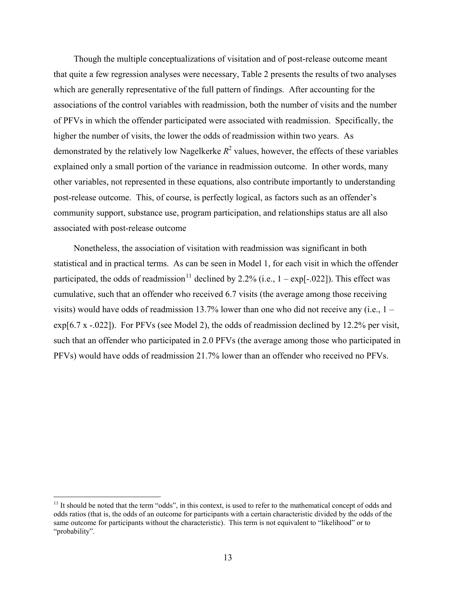Though the multiple conceptualizations of visitation and of post-release outcome meant that quite a few regression analyses were necessary, Table 2 presents the results of two analyses which are generally representative of the full pattern of findings. After accounting for the associations of the control variables with readmission, both the number of visits and the number of PFVs in which the offender participated were associated with readmission. Specifically, the higher the number of visits, the lower the odds of readmission within two years. As demonstrated by the relatively low Nagelkerke  $R^2$  values, however, the effects of these variables explained only a small portion of the variance in readmission outcome. In other words, many other variables, not represented in these equations, also contribute importantly to understanding post-release outcome. This, of course, is perfectly logical, as factors such as an offender's community support, substance use, program participation, and relationships status are all also associated with post-release outcome

Nonetheless, the association of visitation with readmission was significant in both statistical and in practical terms. As can be seen in Model 1, for each visit in which the offender participated, the odds of readmission<sup>[11](#page-20-0)</sup> declined by 2.2% (i.e.,  $1 - \exp[-.022]$ ). This effect was cumulative, such that an offender who received 6.7 visits (the average among those receiving visits) would have odds of readmission 13.7% lower than one who did not receive any (i.e.,  $1$ exp[6.7 x -.022]). For PFVs (see Model 2), the odds of readmission declined by 12.2% per visit, such that an offender who participated in 2.0 PFVs (the average among those who participated in PFVs) would have odds of readmission 21.7% lower than an offender who received no PFVs.

 $\overline{a}$ 

<span id="page-20-0"></span> $11$  It should be noted that the term "odds", in this context, is used to refer to the mathematical concept of odds and odds ratios (that is, the odds of an outcome for participants with a certain characteristic divided by the odds of the same outcome for participants without the characteristic). This term is not equivalent to "likelihood" or to "probability".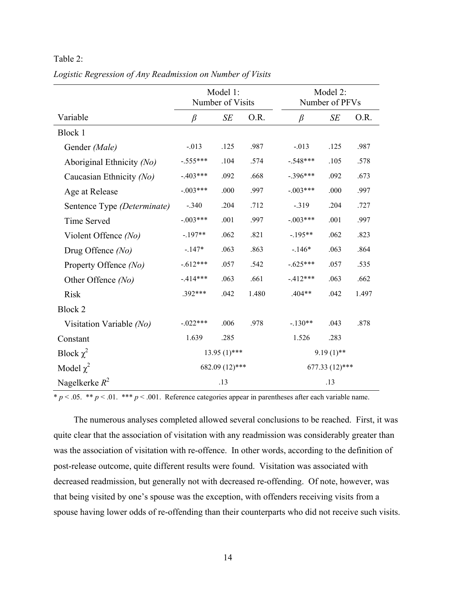<span id="page-21-0"></span>

| `able |  |
|-------|--|
|-------|--|

|                             | Model 1:<br>Number of Visits |      |       | Model 2:<br>Number of PFVs |                  |       |  |
|-----------------------------|------------------------------|------|-------|----------------------------|------------------|-------|--|
| Variable                    | $\beta$                      | SE   | O.R.  | $\beta$                    | SE               | O.R.  |  |
| Block 1                     |                              |      |       |                            |                  |       |  |
| Gender (Male)               | $-.013$                      | .125 | .987  | $-.013$                    | .125             | .987  |  |
| Aboriginal Ethnicity (No)   | $-.555***$                   | .104 | .574  | $-.548***$                 | .105             | .578  |  |
| Caucasian Ethnicity (No)    | $-.403***$                   | .092 | .668  | $-.396***$                 | .092             | .673  |  |
| Age at Release              | $-.003***$                   | .000 | .997  | $-.003***$                 | .000             | .997  |  |
| Sentence Type (Determinate) | $-.340$                      | .204 | .712  | $-.319$                    | .204             | .727  |  |
| <b>Time Served</b>          | $-.003***$                   | .001 | .997  | $-.003***$                 | .001             | .997  |  |
| Violent Offence (No)        | $-.197**$                    | .062 | .821  | $-195**$                   | .062             | .823  |  |
| Drug Offence (No)           | $-147*$                      | .063 | .863  | $-.146*$                   | .063             | .864  |  |
| Property Offence (No)       | $-.612***$                   | .057 | .542  | $-.625***$                 | .057             | .535  |  |
| Other Offence (No)          | $-414***$                    | .063 | .661  | $-412***$                  | .063             | .662  |  |
| <b>Risk</b>                 | .392***                      | .042 | 1.480 | $.404**$                   | .042             | 1.497 |  |
| Block 2                     |                              |      |       |                            |                  |       |  |
| Visitation Variable (No)    | $-.022***$                   | .006 | .978  | $-.130**$                  | .043             | .878  |  |
| Constant                    | 1.639                        | .285 |       | 1.526                      | .283             |       |  |
| Block $\chi^2$              | $13.95(1)$ ***               |      |       | $9.19(1)$ **               |                  |       |  |
| Model $\chi^2$              | 682.09 (12)***               |      |       |                            | $677.33(12)$ *** |       |  |
| Nagelkerke $R^2$            | .13                          |      |       | .13                        |                  |       |  |

*Logistic Regression of Any Readmission on Number of Visits* 

 $\frac{}{p}$  × .05. \*\* *p* < .01. \*\*\* *p* < .001. Reference categories appear in parentheses after each variable name.

The numerous analyses completed allowed several conclusions to be reached. First, it was quite clear that the association of visitation with any readmission was considerably greater than was the association of visitation with re-offence. In other words, according to the definition of post-release outcome, quite different results were found. Visitation was associated with decreased readmission, but generally not with decreased re-offending. Of note, however, was that being visited by one's spouse was the exception, with offenders receiving visits from a spouse having lower odds of re-offending than their counterparts who did not receive such visits.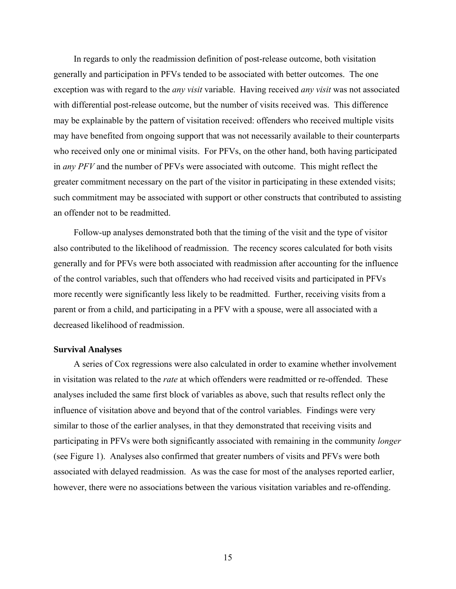<span id="page-22-0"></span>In regards to only the readmission definition of post-release outcome, both visitation generally and participation in PFVs tended to be associated with better outcomes. The one exception was with regard to the *any visit* variable. Having received *any visit* was not associated with differential post-release outcome, but the number of visits received was. This difference may be explainable by the pattern of visitation received: offenders who received multiple visits may have benefited from ongoing support that was not necessarily available to their counterparts who received only one or minimal visits. For PFVs, on the other hand, both having participated in *any PFV* and the number of PFVs were associated with outcome. This might reflect the greater commitment necessary on the part of the visitor in participating in these extended visits; such commitment may be associated with support or other constructs that contributed to assisting an offender not to be readmitted.

Follow-up analyses demonstrated both that the timing of the visit and the type of visitor also contributed to the likelihood of readmission. The recency scores calculated for both visits generally and for PFVs were both associated with readmission after accounting for the influence of the control variables, such that offenders who had received visits and participated in PFVs more recently were significantly less likely to be readmitted. Further, receiving visits from a parent or from a child, and participating in a PFV with a spouse, were all associated with a decreased likelihood of readmission.

## **Survival Analyses**

A series of Cox regressions were also calculated in order to examine whether involvement in visitation was related to the *rate* at which offenders were readmitted or re-offended. These analyses included the same first block of variables as above, such that results reflect only the influence of visitation above and beyond that of the control variables. Findings were very similar to those of the earlier analyses, in that they demonstrated that receiving visits and participating in PFVs were both significantly associated with remaining in the community *longer*  (see Figure 1). Analyses also confirmed that greater numbers of visits and PFVs were both associated with delayed readmission. As was the case for most of the analyses reported earlier, however, there were no associations between the various visitation variables and re-offending.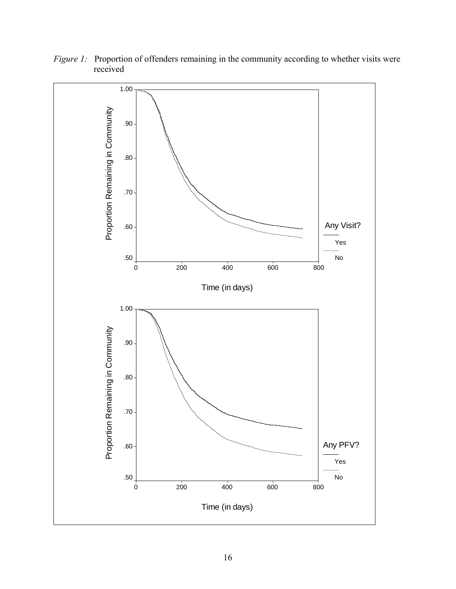

<span id="page-23-0"></span>*Figure 1:* Proportion of offenders remaining in the community according to whether visits were received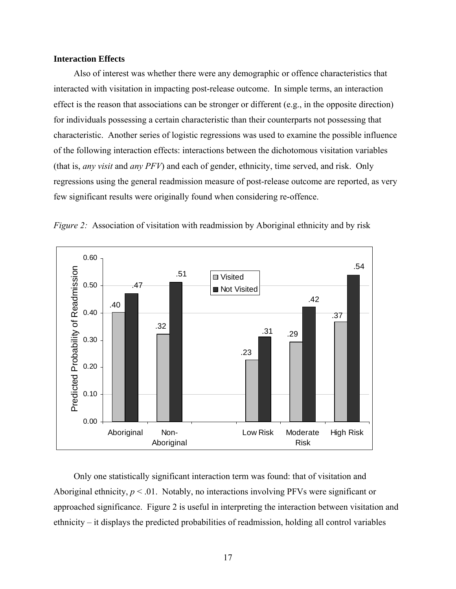## <span id="page-24-0"></span>**Interaction Effects**

Also of interest was whether there were any demographic or offence characteristics that interacted with visitation in impacting post-release outcome. In simple terms, an interaction effect is the reason that associations can be stronger or different (e.g., in the opposite direction) for individuals possessing a certain characteristic than their counterparts not possessing that characteristic. Another series of logistic regressions was used to examine the possible influence of the following interaction effects: interactions between the dichotomous visitation variables (that is, *any visit* and *any PFV*) and each of gender, ethnicity, time served, and risk. Only regressions using the general readmission measure of post-release outcome are reported, as very few significant results were originally found when considering re-offence.



*Figure 2:* Association of visitation with readmission by Aboriginal ethnicity and by risk

Only one statistically significant interaction term was found: that of visitation and Aboriginal ethnicity,  $p < 0.01$ . Notably, no interactions involving PFVs were significant or approached significance. Figure 2 is useful in interpreting the interaction between visitation and ethnicity – it displays the predicted probabilities of readmission, holding all control variables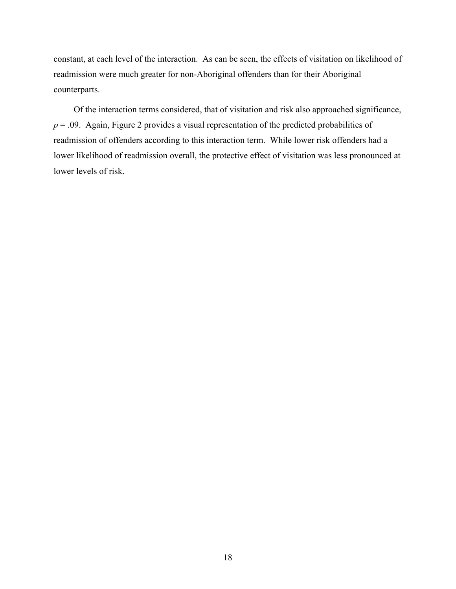constant, at each level of the interaction. As can be seen, the effects of visitation on likelihood of readmission were much greater for non-Aboriginal offenders than for their Aboriginal counterparts.

Of the interaction terms considered, that of visitation and risk also approached significance,  $p = 0.09$ . Again, Figure 2 provides a visual representation of the predicted probabilities of readmission of offenders according to this interaction term. While lower risk offenders had a lower likelihood of readmission overall, the protective effect of visitation was less pronounced at lower levels of risk.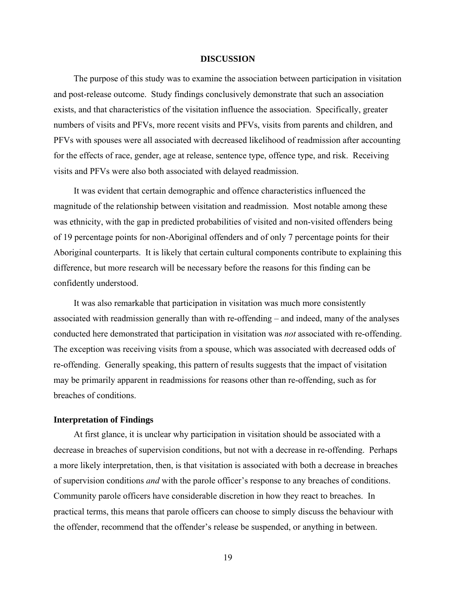#### **DISCUSSION**

<span id="page-26-0"></span>The purpose of this study was to examine the association between participation in visitation and post-release outcome. Study findings conclusively demonstrate that such an association exists, and that characteristics of the visitation influence the association. Specifically, greater numbers of visits and PFVs, more recent visits and PFVs, visits from parents and children, and PFVs with spouses were all associated with decreased likelihood of readmission after accounting for the effects of race, gender, age at release, sentence type, offence type, and risk. Receiving visits and PFVs were also both associated with delayed readmission.

It was evident that certain demographic and offence characteristics influenced the magnitude of the relationship between visitation and readmission. Most notable among these was ethnicity, with the gap in predicted probabilities of visited and non-visited offenders being of 19 percentage points for non-Aboriginal offenders and of only 7 percentage points for their Aboriginal counterparts. It is likely that certain cultural components contribute to explaining this difference, but more research will be necessary before the reasons for this finding can be confidently understood.

It was also remarkable that participation in visitation was much more consistently associated with readmission generally than with re-offending – and indeed, many of the analyses conducted here demonstrated that participation in visitation was *not* associated with re-offending. The exception was receiving visits from a spouse, which was associated with decreased odds of re-offending. Generally speaking, this pattern of results suggests that the impact of visitation may be primarily apparent in readmissions for reasons other than re-offending, such as for breaches of conditions.

# **Interpretation of Findings**

At first glance, it is unclear why participation in visitation should be associated with a decrease in breaches of supervision conditions, but not with a decrease in re-offending. Perhaps a more likely interpretation, then, is that visitation is associated with both a decrease in breaches of supervision conditions *and* with the parole officer's response to any breaches of conditions. Community parole officers have considerable discretion in how they react to breaches. In practical terms, this means that parole officers can choose to simply discuss the behaviour with the offender, recommend that the offender's release be suspended, or anything in between.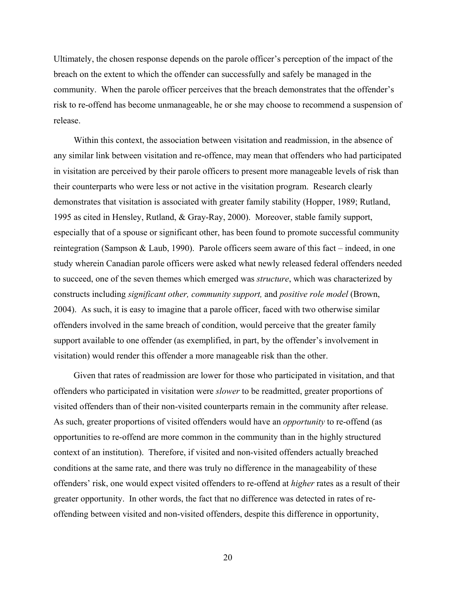Ultimately, the chosen response depends on the parole officer's perception of the impact of the breach on the extent to which the offender can successfully and safely be managed in the community. When the parole officer perceives that the breach demonstrates that the offender's risk to re-offend has become unmanageable, he or she may choose to recommend a suspension of release.

Within this context, the association between visitation and readmission, in the absence of any similar link between visitation and re-offence, may mean that offenders who had participated in visitation are perceived by their parole officers to present more manageable levels of risk than their counterparts who were less or not active in the visitation program. Research clearly demonstrates that visitation is associated with greater family stability (Hopper, 1989; Rutland, 1995 as cited in Hensley, Rutland, & Gray-Ray, 2000). Moreover, stable family support, especially that of a spouse or significant other, has been found to promote successful community reintegration (Sampson & Laub, 1990). Parole officers seem aware of this fact – indeed, in one study wherein Canadian parole officers were asked what newly released federal offenders needed to succeed, one of the seven themes which emerged was *structure*, which was characterized by constructs including *significant other, community support,* and *positive role model* (Brown, 2004). As such, it is easy to imagine that a parole officer, faced with two otherwise similar offenders involved in the same breach of condition, would perceive that the greater family support available to one offender (as exemplified, in part, by the offender's involvement in visitation) would render this offender a more manageable risk than the other.

Given that rates of readmission are lower for those who participated in visitation, and that offenders who participated in visitation were *slower* to be readmitted, greater proportions of visited offenders than of their non-visited counterparts remain in the community after release. As such, greater proportions of visited offenders would have an *opportunity* to re-offend (as opportunities to re-offend are more common in the community than in the highly structured context of an institution). Therefore, if visited and non-visited offenders actually breached conditions at the same rate, and there was truly no difference in the manageability of these offenders' risk, one would expect visited offenders to re-offend at *higher* rates as a result of their greater opportunity. In other words, the fact that no difference was detected in rates of reoffending between visited and non-visited offenders, despite this difference in opportunity,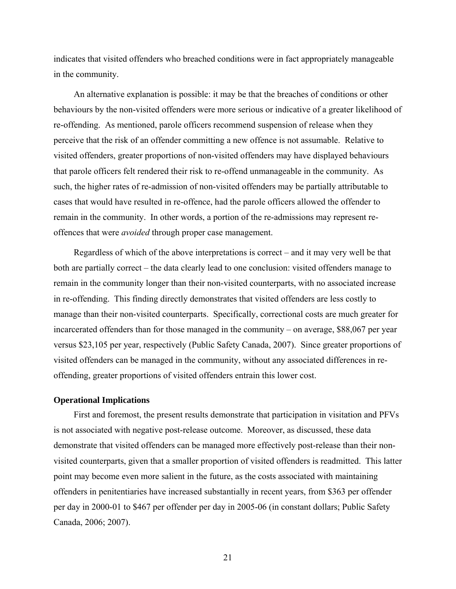<span id="page-28-0"></span>indicates that visited offenders who breached conditions were in fact appropriately manageable in the community.

An alternative explanation is possible: it may be that the breaches of conditions or other behaviours by the non-visited offenders were more serious or indicative of a greater likelihood of re-offending. As mentioned, parole officers recommend suspension of release when they perceive that the risk of an offender committing a new offence is not assumable. Relative to visited offenders, greater proportions of non-visited offenders may have displayed behaviours that parole officers felt rendered their risk to re-offend unmanageable in the community. As such, the higher rates of re-admission of non-visited offenders may be partially attributable to cases that would have resulted in re-offence, had the parole officers allowed the offender to remain in the community. In other words, a portion of the re-admissions may represent reoffences that were *avoided* through proper case management.

Regardless of which of the above interpretations is correct – and it may very well be that both are partially correct – the data clearly lead to one conclusion: visited offenders manage to remain in the community longer than their non-visited counterparts, with no associated increase in re-offending. This finding directly demonstrates that visited offenders are less costly to manage than their non-visited counterparts. Specifically, correctional costs are much greater for incarcerated offenders than for those managed in the community – on average, \$88,067 per year versus \$23,105 per year, respectively (Public Safety Canada, 2007). Since greater proportions of visited offenders can be managed in the community, without any associated differences in reoffending, greater proportions of visited offenders entrain this lower cost.

#### **Operational Implications**

First and foremost, the present results demonstrate that participation in visitation and PFVs is not associated with negative post-release outcome. Moreover, as discussed, these data demonstrate that visited offenders can be managed more effectively post-release than their nonvisited counterparts, given that a smaller proportion of visited offenders is readmitted. This latter point may become even more salient in the future, as the costs associated with maintaining offenders in penitentiaries have increased substantially in recent years, from \$363 per offender per day in 2000-01 to \$467 per offender per day in 2005-06 (in constant dollars; Public Safety Canada, 2006; 2007).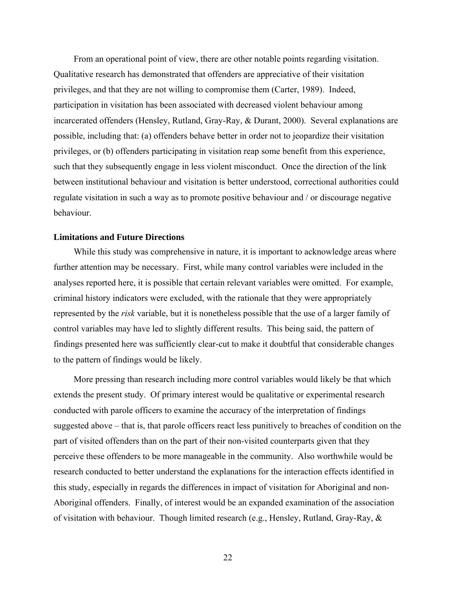<span id="page-29-0"></span>From an operational point of view, there are other notable points regarding visitation. Qualitative research has demonstrated that offenders are appreciative of their visitation privileges, and that they are not willing to compromise them (Carter, 1989). Indeed, participation in visitation has been associated with decreased violent behaviour among incarcerated offenders (Hensley, Rutland, Gray-Ray, & Durant, 2000). Several explanations are possible, including that: (a) offenders behave better in order not to jeopardize their visitation privileges, or (b) offenders participating in visitation reap some benefit from this experience, such that they subsequently engage in less violent misconduct. Once the direction of the link between institutional behaviour and visitation is better understood, correctional authorities could regulate visitation in such a way as to promote positive behaviour and / or discourage negative behaviour.

## **Limitations and Future Directions**

While this study was comprehensive in nature, it is important to acknowledge areas where further attention may be necessary. First, while many control variables were included in the analyses reported here, it is possible that certain relevant variables were omitted. For example, criminal history indicators were excluded, with the rationale that they were appropriately represented by the *risk* variable, but it is nonetheless possible that the use of a larger family of control variables may have led to slightly different results. This being said, the pattern of findings presented here was sufficiently clear-cut to make it doubtful that considerable changes to the pattern of findings would be likely.

More pressing than research including more control variables would likely be that which extends the present study. Of primary interest would be qualitative or experimental research conducted with parole officers to examine the accuracy of the interpretation of findings suggested above – that is, that parole officers react less punitively to breaches of condition on the part of visited offenders than on the part of their non-visited counterparts given that they perceive these offenders to be more manageable in the community. Also worthwhile would be research conducted to better understand the explanations for the interaction effects identified in this study, especially in regards the differences in impact of visitation for Aboriginal and non-Aboriginal offenders. Finally, of interest would be an expanded examination of the association of visitation with behaviour. Though limited research (e.g., Hensley, Rutland, Gray-Ray, &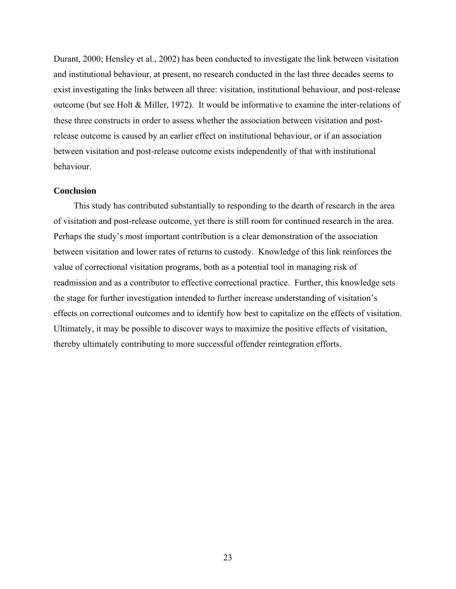<span id="page-30-0"></span>Durant, 2000; Hensley et al., 2002) has been conducted to investigate the link between visitation and institutional behaviour, at present, no research conducted in the last three decades seems to exist investigating the links between all three: visitation, institutional behaviour, and post-release outcome (but see Holt & Miller, 1972). It would be informative to examine the inter-relations of these three constructs in order to assess whether the association between visitation and postrelease outcome is caused by an earlier effect on institutional behaviour, or if an association between visitation and post-release outcome exists independently of that with institutional behaviour.

#### **Conclusion**

This study has contributed substantially to responding to the dearth of research in the area of visitation and post-release outcome, yet there is still room for continued research in the area. Perhaps the study's most important contribution is a clear demonstration of the association between visitation and lower rates of returns to custody. Knowledge of this link reinforces the value of correctional visitation programs, both as a potential tool in managing risk of readmission and as a contributor to effective correctional practice. Further, this knowledge sets the stage for further investigation intended to further increase understanding of visitation's effects on correctional outcomes and to identify how best to capitalize on the effects of visitation. Ultimately, it may be possible to discover ways to maximize the positive effects of visitation, thereby ultimately contributing to more successful offender reintegration efforts.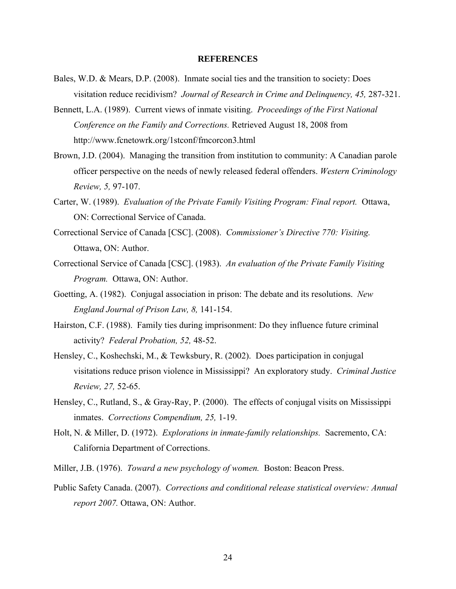#### **REFERENCES**

- <span id="page-31-0"></span>Bales, W.D. & Mears, D.P. (2008). Inmate social ties and the transition to society: Does visitation reduce recidivism? *Journal of Research in Crime and Delinquency, 45,* 287-321.
- Bennett, L.A. (1989). Current views of inmate visiting. *Proceedings of the First National Conference on the Family and Corrections.* Retrieved August 18, 2008 from http://www.fcnetowrk.org/1stconf/fmcorcon3.html
- Brown, J.D. (2004). Managing the transition from institution to community: A Canadian parole officer perspective on the needs of newly released federal offenders. *Western Criminology Review, 5,* 97-107.
- Carter, W. (1989). *Evaluation of the Private Family Visiting Program: Final report.* Ottawa, ON: Correctional Service of Canada.
- Correctional Service of Canada [CSC]. (2008). *Commissioner's Directive 770: Visiting.* Ottawa, ON: Author.
- Correctional Service of Canada [CSC]. (1983). *An evaluation of the Private Family Visiting Program.* Ottawa, ON: Author.
- Goetting, A. (1982). Conjugal association in prison: The debate and its resolutions. *New England Journal of Prison Law, 8,* 141-154.
- Hairston, C.F. (1988). Family ties during imprisonment: Do they influence future criminal activity? *Federal Probation, 52,* 48-52.
- Hensley, C., Koshechski, M., & Tewksbury, R. (2002). Does participation in conjugal visitations reduce prison violence in Mississippi? An exploratory study. *Criminal Justice Review, 27,* 52-65.
- Hensley, C., Rutland, S., & Gray-Ray, P. (2000). The effects of conjugal visits on Mississippi inmates. *Corrections Compendium, 25,* 1-19.
- Holt, N. & Miller, D. (1972). *Explorations in inmate-family relationships.* Sacremento, CA: California Department of Corrections.
- Miller, J.B. (1976). *Toward a new psychology of women.* Boston: Beacon Press.
- Public Safety Canada. (2007). *Corrections and conditional release statistical overview: Annual report 2007.* Ottawa, ON: Author.